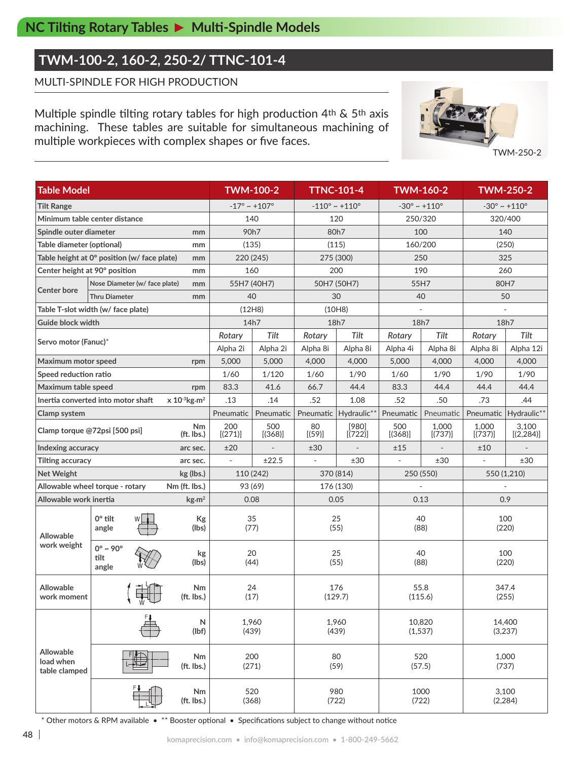### **TWM-100-2, 160-2, 250-2/ TTNC-101-4**

MULTI-SPINDLE FOR HIGH PRODUCTION

Multiple spindle tilting rotary tables for high production 4th & 5th axis machining. These tables are suitable for simultaneous machining of multiple workpieces with complex shapes or five faces.



TWM-250-2

| <b>Table Model</b>                                                  |                                          |                         | <b>TWM-100-2</b>                |                |                                  | <b>TTNC-101-4</b>  |                          | <b>TWM-160-2</b>                | <b>TWM-250-2</b>                |                     |  |
|---------------------------------------------------------------------|------------------------------------------|-------------------------|---------------------------------|----------------|----------------------------------|--------------------|--------------------------|---------------------------------|---------------------------------|---------------------|--|
| <b>Tilt Range</b>                                                   |                                          |                         | $-17^{\circ} \sim +107^{\circ}$ |                | $-110^{\circ} \sim +110^{\circ}$ |                    |                          | $-30^{\circ} \sim +110^{\circ}$ | $-30^{\circ} \sim +110^{\circ}$ |                     |  |
| Minimum table center distance                                       |                                          |                         | 140                             |                | 120                              |                    |                          | 250/320                         | 320/400                         |                     |  |
| Spindle outer diameter<br>mm                                        |                                          |                         | 90h7                            |                | 80h7                             |                    |                          | 100                             | 140                             |                     |  |
| Table diameter (optional)<br>mm                                     |                                          |                         | (135)                           |                | (115)                            |                    |                          | 160/200                         | (250)                           |                     |  |
| Table height at 0° position (w/ face plate)<br>mm                   |                                          |                         | 220 (245)                       |                | 275 (300)                        |                    |                          | 250                             | 325                             |                     |  |
| Center height at 90° position<br>mm                                 |                                          |                         | 160                             |                | 200                              |                    |                          | 190                             | 260                             |                     |  |
| Nose Diameter (w/ face plate)<br>mm                                 |                                          |                         | 55H7 (40H7)                     |                | 50H7 (50H7)                      |                    |                          | 55H7                            | 80H7                            |                     |  |
| <b>Center bore</b>                                                  | <b>Thru Diameter</b>                     | 40                      |                                 | 30             |                                  | 40                 |                          | 50                              |                                 |                     |  |
| Table T-slot width (w/ face plate)                                  |                                          |                         | (12H8)                          |                | (10H8)                           |                    |                          |                                 |                                 |                     |  |
| Guide block width                                                   |                                          |                         | 14h7                            |                | 18h7                             |                    | 18h7                     |                                 | 18h7                            |                     |  |
|                                                                     |                                          |                         | Rotary                          | Tilt           | Rotary                           | Tilt               | Rotary                   | Tilt                            | Rotary                          | Tilt                |  |
| Servo motor (Fanuc)*                                                |                                          |                         | Alpha 2i                        | Alpha 2i       | Alpha 8i                         | Alpha 8i           | Alpha 4i                 | Alpha 8i                        | Alpha 8i                        | Alpha 12i           |  |
| Maximum motor speed                                                 |                                          | rpm                     | 5,000                           | 5,000          | 4,000                            | 4,000              | 5,000                    | 4,000                           | 4,000                           | 4,000               |  |
| Speed reduction ratio                                               |                                          |                         | 1/60                            | 1/120          | 1/60                             | 1/90               | 1/60                     | 1/90                            | 1/90                            | 1/90                |  |
| Maximum table speed<br>rpm                                          |                                          |                         | 83.3                            | 41.6           | 66.7                             | 44.4               | 83.3                     | 44.4                            | 44.4                            | 44.4                |  |
| Inertia converted into motor shaft<br>$x 10^{-3}$ kg·m <sup>2</sup> |                                          |                         | .13                             | .14            | .52                              | 1.08               | .52                      | .50                             | .73                             | .44                 |  |
| Clamp system                                                        |                                          |                         | Pneumatic                       | Pneumatic      | Pneumatic                        | Hydraulic**        | Pneumatic                | Pneumatic                       | Pneumatic                       | Hydraulic**         |  |
| <b>Nm</b><br>Clamp torque @72psi [500 psi]<br>(ft. lbs.)            |                                          |                         | 200<br>[(271)]                  | 500<br>[(368)] | 80<br>[(59)]                     | $[980]$<br>[(722)] | 500<br>[(368)]           | 1,000<br>[(737)]                | 1,000<br>[(737)]                | 3.100<br>[(2, 284)] |  |
| Indexing accuracy<br>arc sec.                                       |                                          | ±20                     |                                 | ±30            |                                  | ±15                |                          | ±10                             |                                 |                     |  |
| <b>Tilting accuracy</b>                                             |                                          | arc sec.                | $\overline{\phantom{a}}$        | ±22.5          | $\overline{\phantom{a}}$         | ±30                | $\overline{\phantom{a}}$ | ±30                             |                                 | ±30                 |  |
| <b>Net Weight</b><br>kg (lbs.)                                      |                                          | 110 (242)               |                                 | 370 (814)      |                                  |                    | 250 (550)                | 550 (1,210)                     |                                 |                     |  |
| Nm (ft. lbs.)<br>Allowable wheel torque - rotary                    |                                          | 93 (69)                 |                                 | 176 (130)      |                                  |                    |                          |                                 |                                 |                     |  |
| Allowable work inertia<br>$\text{kg}\cdot\text{m}^2$                |                                          | 0.08                    |                                 | 0.05           |                                  |                    | 0.13                     | 0.9                             |                                 |                     |  |
| <b>Allowable</b><br>work weight                                     | $0^\circ$ tilt<br>angle                  | Kg<br>(lbs)             |                                 | 35<br>(77)     | 25<br>(55)                       |                    |                          | 40<br>(88)                      | 100<br>(220)                    |                     |  |
|                                                                     | $0^\circ \sim 90^\circ$<br>tilt<br>angle | kg<br>(lbs)             | 20<br>(44)                      |                | 25<br>(55)                       |                    |                          | 40<br>(88)                      | 100<br>(220)                    |                     |  |
| <b>Allowable</b><br>work moment                                     |                                          | Nm<br>(ft. lbs.)        | 24<br>(17)                      |                | 176<br>(129.7)                   |                    |                          | 55.8<br>(115.6)                 | 347.4<br>(255)                  |                     |  |
|                                                                     | ${\sf N}$<br>(Ibf)                       |                         | 1,960<br>(439)                  |                | 1,960<br>(439)                   |                    |                          | 10,820<br>(1,537)               | 14,400<br>(3,237)               |                     |  |
| Allowable<br>load when<br>table clamped                             | <b>Nm</b><br>(ft. lbs.)                  |                         | 200<br>(271)                    |                | 80<br>(59)                       |                    |                          | 520<br>(57.5)                   | 1,000<br>(737)                  |                     |  |
|                                                                     |                                          | <b>Nm</b><br>(ft. lbs.) |                                 | 520<br>(368)   |                                  | 980<br>(722)       | (722)                    | 1000                            | 3,100<br>(2, 284)               |                     |  |

\* Other motors & RPM available • \*\* Booster optional • Specifications subject to change without notice